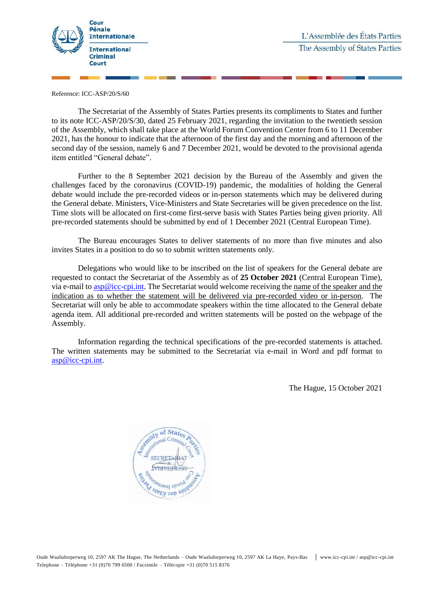

Reference: ICC-ASP/20/S/60

The Secretariat of the Assembly of States Parties presents its compliments to States and further to its note ICC-ASP/20/S/30, dated 25 February 2021, regarding the invitation to the twentieth session of the Assembly, which shall take place at the World Forum Convention Center from 6 to 11 December 2021, has the honour to indicate that the afternoon of the first day and the morning and afternoon of the second day of the session, namely 6 and 7 December 2021, would be devoted to the provisional agenda item entitled "General debate".

Further to the 8 September 2021 decision by the Bureau of the Assembly and given the challenges faced by the coronavirus (COVID-19) pandemic, the modalities of holding the General debate would include the pre-recorded videos or in-person statements which may be delivered during the General debate. Ministers, Vice-Ministers and State Secretaries will be given precedence on the list. Time slots will be allocated on first-come first-serve basis with States Parties being given priority. All pre-recorded statements should be submitted by end of 1 December 2021 (Central European Time).

The Bureau encourages States to deliver statements of no more than five minutes and also invites States in a position to do so to submit written statements only.

Delegations who would like to be inscribed on the list of speakers for the General debate are requested to contact the Secretariat of the Assembly as of **25 October 2021** (Central European Time), via e-mail to [asp@icc-cpi.int.](mailto:asp@icc-cpi.int) The Secretariat would welcome receiving the name of the speaker and the indication as to whether the statement will be delivered via pre-recorded video or in-person. The Secretariat will only be able to accommodate speakers within the time allocated to the General debate agenda item. All additional pre-recorded and written statements will be posted on the webpage of the Assembly.

Information regarding the technical specifications of the pre-recorded statements is attached. The written statements may be submitted to the Secretariat via e-mail in Word and pdf format to [asp@icc-cpi.int.](mailto:asp@icc-cpi.int)

The Hague, 15 October 2021

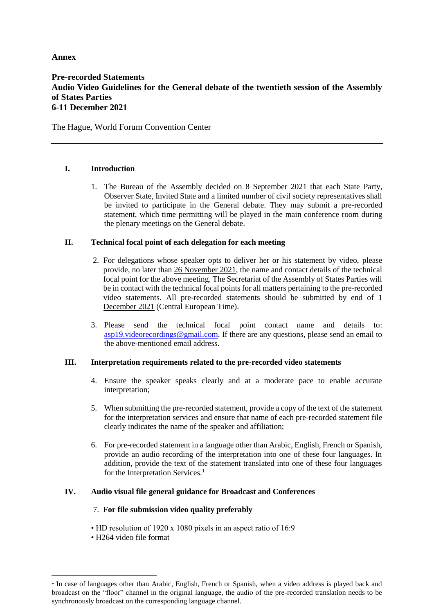# **Annex**

## **Pre-recorded Statements Audio Video Guidelines for the General debate of the twentieth session of the Assembly of States Parties 6-11 December 2021**

# The Hague, World Forum Convention Center

# **I. Introduction**

1. The Bureau of the Assembly decided on 8 September 2021 that each State Party, Observer State, Invited State and a limited number of civil society representatives shall be invited to participate in the General debate. They may submit a pre-recorded statement, which time permitting will be played in the main conference room during the plenary meetings on the General debate.

# **II. Technical focal point of each delegation for each meeting**

- 2. For delegations whose speaker opts to deliver her or his statement by video, please provide, no later than 26 November 2021, the name and contact details of the technical focal point for the above meeting. The Secretariat of the Assembly of States Parties will be in contact with the technical focal points for all matters pertaining to the pre-recorded video statements. All pre-recorded statements should be submitted by end of 1 December 2021 (Central European Time).
- 3. Please send the technical focal point contact name and details to: [asp19.videorecordings@gmail.com.](mailto:asp19.videorecordings@gmail.com) If there are any questions, please send an email to the above-mentioned email address.

# **III. Interpretation requirements related to the pre-recorded video statements**

- 4. Ensure the speaker speaks clearly and at a moderate pace to enable accurate interpretation;
- 5. When submitting the pre-recorded statement, provide a copy of the text of the statement for the interpretation services and ensure that name of each pre-recorded statement file clearly indicates the name of the speaker and affiliation;
- 6. For pre-recorded statement in a language other than Arabic, English, French or Spanish, provide an audio recording of the interpretation into one of these four languages. In addition, provide the text of the statement translated into one of these four languages for the Interpretation Services.<sup>1</sup>

### **IV. Audio visual file general guidance for Broadcast and Conferences**

### 7. **For file submission video quality preferably**

- HD resolution of 1920 x 1080 pixels in an aspect ratio of 16:9
- H264 video file format

 $\overline{a}$ 

<sup>&</sup>lt;sup>1</sup> In case of languages other than Arabic, English, French or Spanish, when a video address is played back and broadcast on the "floor" channel in the original language, the audio of the pre-recorded translation needs to be synchronously broadcast on the corresponding language channel.